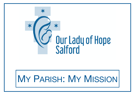

# MY PARISH: MY MISSION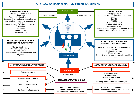### **OUR LADY OF HOPE PARISH: MY PARISH: MY MISSION**

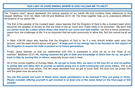#### **OUR LADY OF HOPE PARISH: WHERE IS GOD CALLING ME TO HELP?**

The "mission chart" above represents the various aspects of our parish life and contains three references to the Gospel: Matthew 13:31-32, Mark 4:26-29 and Matthew 25:31-46. The three together help us to understand different dimensions of our parish life:

- The first is the parable of the mustard seed. Jesus teaches that the Kingdom of God is like a mustard seed which becomes the greatest of shrubs so that the birds of the air come and "make nests in its branches". We learn that *our parish must be a place where those who need to can come and take shelter*, can find a home, protection, peace from the challenges of life. It is so important that we build community to allow this. But this cannot be all we do.
- In Mark 4:26-29 Jesus also teaches that the Kingdom of God is "as if a man should scatter seed upon the ground...and the seed should sprout and grow". *A large part of our energy has to be focused on this aspect of the Kingdom to ensure the faith is passed on to future generations*.
- Finally, Jesus teaches us that our relationship with Him is expressed in what we do to the "least of my brethren" (Matthew 25:31-46). *Having received the gift of faith and knowledge of God's love for us, we give it back to Him by serving Him in others*, especially those most in need.
- All of this comes together at Sunday Mass. *As we get to know Him, we learn of His love for us and we gather to praise Him and allow Him to nourish us before going out to build community and serve others.* This is all represented on the chart above. The red areas represent how we get to know God, the blue how we praise Him and the green how we serve Him.

*You are this parish and each of these areas needs parishioners to be involved if they are going to thrive. Please consider offering yourself to get involved in at least one of the areas listed on the final page of this booklet.*